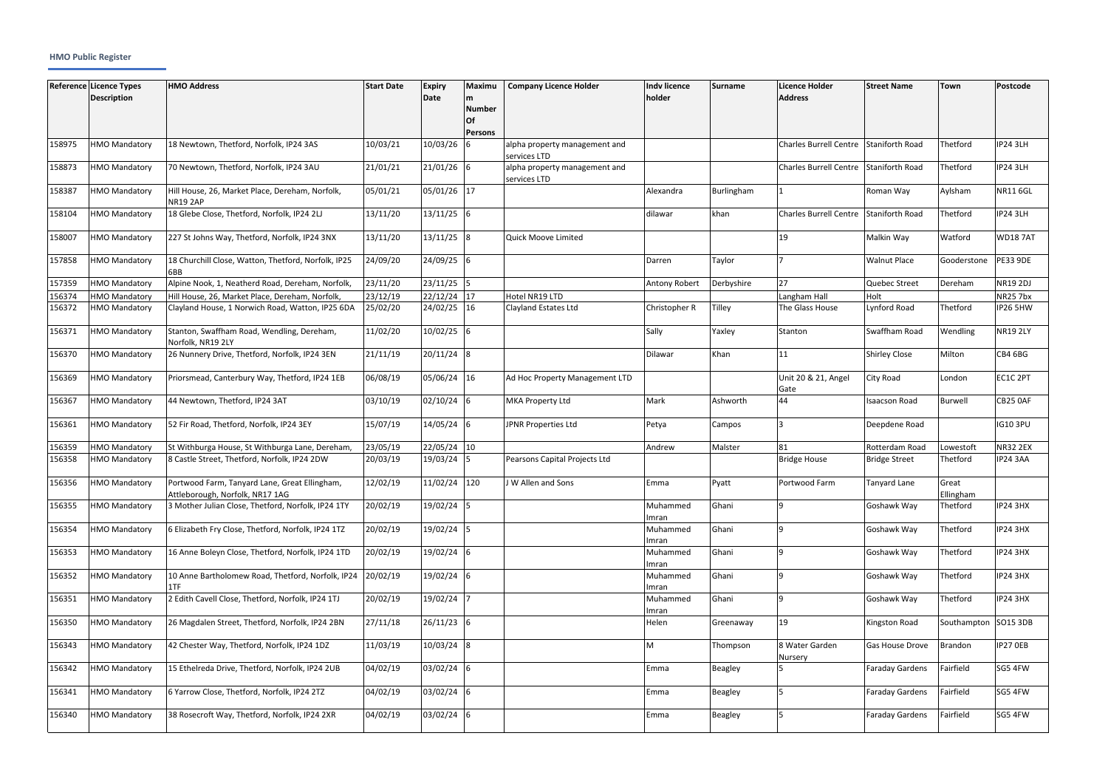## **HMO Public Register**

|        | Reference Licence Types<br><b>Description</b> | <b>HMO Address</b>                                                               | <b>Start Date</b> | <b>Expiry</b><br>Date | <b>Maximu</b><br>m<br><b>Number</b><br>Of<br>Persons | <b>Company Licence Holder</b>                 | <b>Indv licence</b><br>holder | Surname        | <b>Licence Holder</b><br><b>Address</b> | <b>Street Name</b>     | Town                 | Postcode        |
|--------|-----------------------------------------------|----------------------------------------------------------------------------------|-------------------|-----------------------|------------------------------------------------------|-----------------------------------------------|-------------------------------|----------------|-----------------------------------------|------------------------|----------------------|-----------------|
| 158975 | <b>HMO Mandatory</b>                          | 18 Newtown, Thetford, Norfolk, IP24 3AS                                          | 10/03/21          | 10/03/26              |                                                      | alpha property management and<br>services LTD |                               |                | <b>Charles Burrell Centre</b>           | <b>Staniforth Road</b> | Thetford             | <b>IP24 3LH</b> |
| 158873 | <b>HMO Mandatory</b>                          | 70 Newtown, Thetford, Norfolk, IP24 3AU                                          | 21/01/21          | 21/01/26              |                                                      | alpha property management and<br>services LTD |                               |                | <b>Charles Burrell Centre</b>           | Staniforth Road        | Thetford             | <b>IP24 3LH</b> |
| 158387 | <b>HMO Mandatory</b>                          | Hill House, 26, Market Place, Dereham, Norfolk,<br><b>NR19 2AP</b>               | 05/01/21          | 05/01/26 17           |                                                      |                                               | Alexandra                     | Burlingham     |                                         | Roman Way              | Aylsham              | <b>NR116GL</b>  |
| 158104 | <b>HMO Mandatory</b>                          | 18 Glebe Close, Thetford, Norfolk, IP24 2LJ                                      | 13/11/20          | $13/11/25$ 6          |                                                      |                                               | dilawar                       | khan           | <b>Charles Burrell Centre</b>           | <b>Staniforth Road</b> | Thetford             | <b>IP24 3LH</b> |
| 158007 | <b>HMO Mandatory</b>                          | 227 St Johns Way, Thetford, Norfolk, IP24 3NX                                    | 13/11/20          | 13/11/25              |                                                      | Quick Moove Limited                           |                               |                | 19                                      | Malkin Way             | Watford              | <b>WD187AT</b>  |
| 157858 | <b>HMO Mandatory</b>                          | 18 Churchill Close, Watton, Thetford, Norfolk, IP25<br>6BB                       | 24/09/20          | 24/09/25              |                                                      |                                               | Darren                        | Taylor         |                                         | <b>Walnut Place</b>    | Gooderstone          | <b>PE33 9DE</b> |
| 157359 | <b>HMO Mandatory</b>                          | Alpine Nook, 1, Neatherd Road, Dereham, Norfolk,                                 | 23/11/20          | 23/11/25              |                                                      |                                               | Antony Robert                 | Derbyshire     | 27                                      | Quebec Street          | Dereham              | <b>NR19 2DJ</b> |
| 156374 | <b>HMO Mandatory</b>                          | Hill House, 26, Market Place, Dereham, Norfolk,                                  | 23/12/19          | 22/12/24              | 17                                                   | Hotel NR19 LTD                                |                               |                | Langham Hall                            | Holt                   |                      | <b>NR25 7bx</b> |
| 156372 | <b>HMO Mandatory</b>                          | Clayland House, 1 Norwich Road, Watton, IP25 6DA                                 | 25/02/20          | 24/02/25              | 16                                                   | Clayland Estates Ltd                          | Christopher R                 | Tilley         | The Glass House                         | Lynford Road           | Thetford             | IP26 5HW        |
| 156371 | <b>HMO Mandatory</b>                          | Stanton, Swaffham Road, Wendling, Dereham,<br>Norfolk. NR19 2LY                  | 11/02/20          | 10/02/25              |                                                      |                                               | Sally                         | Yaxley         | Stanton                                 | Swaffham Road          | Wendling             | <b>NR19 2LY</b> |
| 156370 | <b>HMO Mandatory</b>                          | 26 Nunnery Drive, Thetford, Norfolk, IP24 3EN                                    | 21/11/19          | 20/11/24              | 18                                                   |                                               | <b>Dilawar</b>                | Khan           | 11                                      | <b>Shirley Close</b>   | Milton               | CB4 6BG         |
| 156369 | <b>HMO Mandatory</b>                          | Priorsmead, Canterbury Way, Thetford, IP24 1EB                                   | 06/08/19          | 05/06/24 16           |                                                      | Ad Hoc Property Management LTD                |                               |                | Unit 20 & 21, Angel<br>Gate             | City Road              | London               | EC1C 2PT        |
| 156367 | <b>HMO Mandatory</b>                          | 44 Newtown, Thetford, IP24 3AT                                                   | 03/10/19          | 02/10/24              |                                                      | <b>MKA Property Ltd</b>                       | Mark                          | Ashworth       | 44                                      | <b>Isaacson Road</b>   | <b>Burwell</b>       | CB25 OAF        |
| 156361 | <b>HMO Mandatory</b>                          | 52 Fir Road, Thetford, Norfolk, IP24 3EY                                         | 15/07/19          | 14/05/24              |                                                      | JPNR Properties Ltd                           | Petya                         | Campos         |                                         | Deepdene Road          |                      | <b>IG10 3PU</b> |
| 156359 | <b>HMO Mandatory</b>                          | St Withburga House, St Withburga Lane, Dereham,                                  | 23/05/19          | 22/05/24              | 10                                                   |                                               | Andrew                        | Malster        | 81                                      | Rotterdam Road         | Lowestoft            | <b>NR32 2EX</b> |
| 156358 | <b>HMO Mandatory</b>                          | 8 Castle Street, Thetford, Norfolk, IP24 2DW                                     | 20/03/19          | 19/03/24              |                                                      | Pearsons Capital Projects Ltd                 |                               |                | <b>Bridge House</b>                     | <b>Bridge Street</b>   | Thetford             | <b>IP24 3AA</b> |
| 156356 | <b>HMO Mandatory</b>                          | Portwood Farm, Tanyard Lane, Great Ellingham,<br>Attleborough, Norfolk, NR17 1AG | 12/02/19          | 11/02/24              | 120                                                  | J W Allen and Sons                            | Emma                          | Pyatt          | Portwood Farm                           | <b>Tanyard Lane</b>    | Great<br>Ellingham   |                 |
| 156355 | <b>HMO Mandatory</b>                          | 3 Mother Julian Close, Thetford, Norfolk, IP24 1TY                               | 20/02/19          | 19/02/24              | 15                                                   |                                               | Muhammed<br>Imran             | Ghani          |                                         | Goshawk Way            | Thetford             | <b>IP24 3HX</b> |
| 156354 | <b>HMO Mandatory</b>                          | 6 Elizabeth Fry Close, Thetford, Norfolk, IP24 1TZ                               | 20/02/19          | 19/02/24              |                                                      |                                               | Muhammed<br>Imran             | Ghani          | $\mathbf{q}$                            | Goshawk Way            | Thetford             | <b>IP24 3HX</b> |
| 156353 | <b>HMO Mandatory</b>                          | 16 Anne Boleyn Close, Thetford, Norfolk, IP24 1TD                                | 20/02/19          | $19/02/24$ 6          |                                                      |                                               | Muhammed<br>Imran             | Ghani          |                                         | Goshawk Way            | Thetford             | <b>IP24 3HX</b> |
| 156352 | <b>HMO Mandatory</b>                          | 10 Anne Bartholomew Road, Thetford, Norfolk, IP24<br>1TF                         | 20/02/19          | $19/02/24$ 6          |                                                      |                                               | Muhammed<br>Imran             | Ghani          | <b>q</b>                                | Goshawk Way            | Thetford             | <b>IP24 3HX</b> |
| 156351 | <b>HMO Mandatory</b>                          | 2 Edith Cavell Close, Thetford, Norfolk, IP24 1TJ                                | 20/02/19          | 19/02/24              |                                                      |                                               | Muhammed<br>Imran             | Ghani          | $\mathsf{q}$                            | Goshawk Way            | Thetford             | <b>IP24 3HX</b> |
| 156350 | <b>HMO Mandatory</b>                          | 26 Magdalen Street, Thetford, Norfolk, IP24 2BN                                  | 27/11/18          | $26/11/23$ 6          |                                                      |                                               | Helen                         | Greenaway      | 19                                      | Kingston Road          | Southampton SO15 3DB |                 |
| 156343 | <b>HMO Mandatory</b>                          | 42 Chester Way, Thetford, Norfolk, IP24 1DZ                                      | 11/03/19          | $10/03/24$ 8          |                                                      |                                               | M                             | Thompson       | 8 Water Garden<br>Nursery               | <b>Gas House Drove</b> | Brandon              | IP27 OEB        |
| 156342 | <b>HMO Mandatory</b>                          | 15 Ethelreda Drive, Thetford, Norfolk, IP24 2UB                                  | 04/02/19          | 03/02/24              |                                                      |                                               | Emma                          | <b>Beagley</b> |                                         | <b>Faraday Gardens</b> | Fairfield            | SG5 4FW         |
| 156341 | <b>HMO Mandatory</b>                          | 6 Yarrow Close, Thetford, Norfolk, IP24 2TZ                                      | 04/02/19          | $03/02/24$ 6          |                                                      |                                               | Emma                          | <b>Beagley</b> |                                         | <b>Faraday Gardens</b> | Fairfield            | SG5 4FW         |
| 156340 | <b>HMO Mandatory</b>                          | 38 Rosecroft Way, Thetford, Norfolk, IP24 2XR                                    | 04/02/19          | $03/02/24$ 6          |                                                      |                                               | Emma                          | <b>Beagley</b> |                                         | <b>Faraday Gardens</b> | Fairfield            | SG5 4FW         |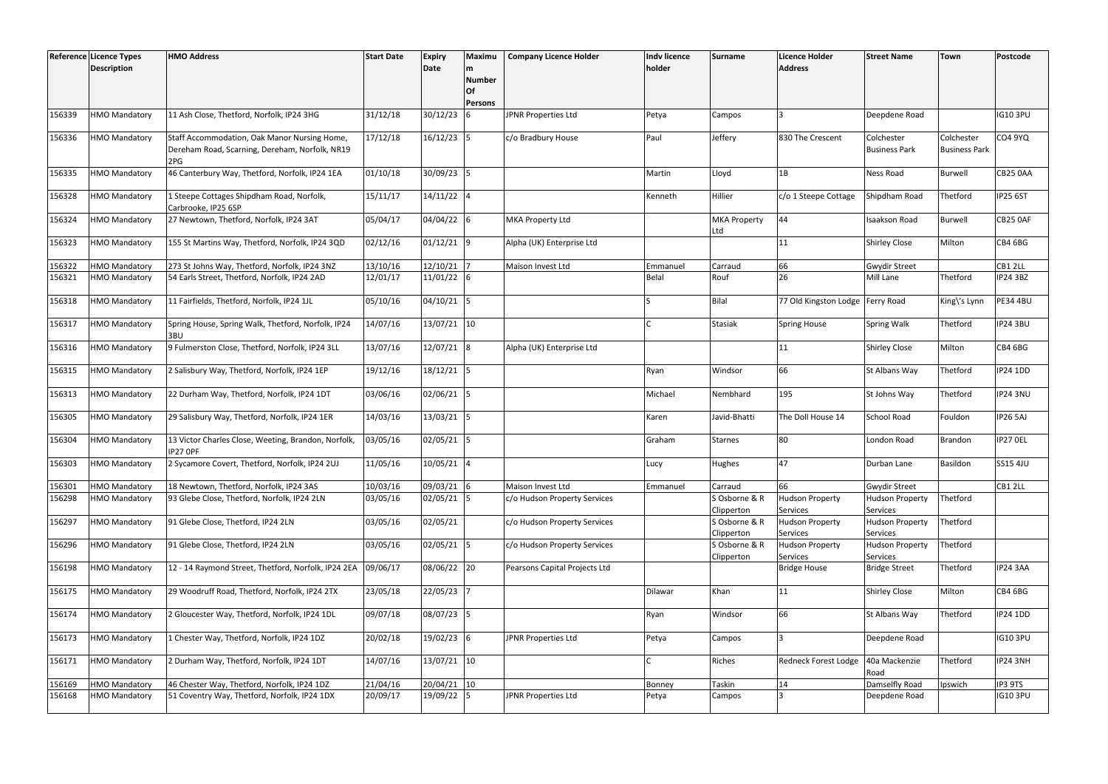| Reference Licence Types |                      | <b>HMO Address</b>                                                                                    | <b>Start Date</b> | <b>Expiry</b> | Maximu                                     | <b>Company Licence Holder</b> | <b>Indv licence</b> | Surname                     | <b>Licence Holder</b>              | <b>Street Name</b>                 | <b>Town</b>                        | Postcode        |
|-------------------------|----------------------|-------------------------------------------------------------------------------------------------------|-------------------|---------------|--------------------------------------------|-------------------------------|---------------------|-----------------------------|------------------------------------|------------------------------------|------------------------------------|-----------------|
|                         | <b>Description</b>   |                                                                                                       |                   | Date          | m<br><b>Number</b><br>Of<br><b>Persons</b> |                               | holder              |                             | <b>Address</b>                     |                                    |                                    |                 |
| 156339                  | <b>HMO Mandatory</b> | 11 Ash Close, Thetford, Norfolk, IP24 3HG                                                             | 31/12/18          | 30/12/23      |                                            | JPNR Properties Ltd           | Petya               | Campos                      |                                    | Deepdene Road                      |                                    | <b>IG10 3PU</b> |
| 156336                  | <b>HMO Mandatory</b> | Staff Accommodation, Oak Manor Nursing Home,<br>Dereham Road, Scarning, Dereham, Norfolk, NR19<br>2PG | 17/12/18          | $16/12/23$ 5  |                                            | c/o Bradbury House            | Paul                | Jeffery                     | 830 The Crescent                   | Colchester<br><b>Business Park</b> | Colchester<br><b>Business Park</b> | <b>CO4 9YQ</b>  |
| 156335                  | <b>HMO Mandatory</b> | 46 Canterbury Way, Thetford, Norfolk, IP24 1EA                                                        | 01/10/18          | 30/09/23 5    |                                            |                               | Martin              | Lloyd                       | 1B                                 | Ness Road                          | <b>Burwell</b>                     | CB25 0AA        |
| 156328                  | <b>HMO Mandatory</b> | 1 Steepe Cottages Shipdham Road, Norfolk,<br>Carbrooke, IP25 6SP                                      | 15/11/17          | $14/11/22$ 4  |                                            |                               | Kenneth             | Hillier                     | c/o 1 Steepe Cottage               | Shipdham Road                      | Thetford                           | <b>IP25 6ST</b> |
| 156324                  | HMO Mandatory        | 27 Newtown, Thetford, Norfolk, IP24 3AT                                                               | 05/04/17          | 04/04/22 6    |                                            | <b>MKA Property Ltd</b>       |                     | <b>MKA Property</b><br>Ltd  | 44                                 | <b>Isaakson Road</b>               | <b>Burwell</b>                     | CB25 OAF        |
| 156323                  | <b>HMO Mandatory</b> | 155 St Martins Way, Thetford, Norfolk, IP24 3QD                                                       | 02/12/16          | $01/12/21$ 9  |                                            | Alpha (UK) Enterprise Ltd     |                     |                             | 11                                 | <b>Shirley Close</b>               | Milton                             | CB4 6BG         |
| 156322                  | <b>HMO Mandatory</b> | 273 St Johns Way, Thetford, Norfolk, IP24 3NZ                                                         | 13/10/16          | 12/10/21      |                                            | Maison Invest Ltd             | Emmanuel            | Carraud                     | 66                                 | <b>Gwydir Street</b>               |                                    | CB1 2LL         |
| 156321                  | HMO Mandatory        | 54 Earls Street, Thetford, Norfolk, IP24 2AD                                                          | 12/01/17          | 11/01/22 6    |                                            |                               | Belal               | Rouf                        | 26                                 | Mill Lane                          | Thetford                           | IP24 3BZ        |
| 156318                  | <b>HMO Mandatory</b> | 11 Fairfields, Thetford, Norfolk, IP24 1JL                                                            | 05/10/16          | $04/10/21$ 5  |                                            |                               |                     | Bilal                       | 77 Old Kingston Lodge              | <b>Ferry Road</b>                  | King\'s Lynn                       | <b>PE34 4BU</b> |
| 156317                  | <b>HMO Mandatory</b> | Spring House, Spring Walk, Thetford, Norfolk, IP24<br>3BU                                             | 14/07/16          | $13/07/21$ 10 |                                            |                               |                     | <b>Stasiak</b>              | <b>Spring House</b>                | Spring Walk                        | Thetford                           | <b>IP24 3BU</b> |
| 156316                  | <b>HMO Mandatory</b> | 9 Fulmerston Close, Thetford, Norfolk, IP24 3LL                                                       | 13/07/16          | $12/07/21$ 8  |                                            | Alpha (UK) Enterprise Ltd     |                     |                             | 11                                 | <b>Shirley Close</b>               | Milton                             | CB4 6BG         |
| 156315                  | <b>HMO Mandatory</b> | 2 Salisbury Way, Thetford, Norfolk, IP24 1EP                                                          | 19/12/16          | $18/12/21$ 5  |                                            |                               | Ryan                | Windsor                     | 66                                 | St Albans Way                      | Thetford                           | <b>IP24 1DD</b> |
| 156313                  | <b>HMO Mandatory</b> | 22 Durham Way, Thetford, Norfolk, IP24 1DT                                                            | 03/06/16          | $02/06/21$ 5  |                                            |                               | Michael             | Nembhard                    | 195                                | St Johns Way                       | Thetford                           | <b>IP24 3NU</b> |
| 156305                  | HMO Mandatory        | 29 Salisbury Way, Thetford, Norfolk, IP24 1ER                                                         | 14/03/16          | $13/03/21$ 5  |                                            |                               | Karen               | Javid-Bhatti                | The Doll House 14                  | <b>School Road</b>                 | Fouldon                            | <b>IP26 5AJ</b> |
| 156304                  | HMO Mandatory        | 13 Victor Charles Close, Weeting, Brandon, Norfolk,<br>IP27 OPF                                       | 03/05/16          | 02/05/21 5    |                                            |                               | Graham              | <b>Starnes</b>              | 80                                 | London Road                        | Brandon                            | IP27 OEL        |
| 156303                  | <b>HMO Mandatory</b> | 2 Sycamore Covert, Thetford, Norfolk, IP24 2UJ                                                        | 11/05/16          | $10/05/21$ 4  |                                            |                               | Lucy                | Hughes                      | 47                                 | Durban Lane                        | Basildon                           | SS15 4JU        |
| 156301                  | <b>HMO Mandatory</b> | 18 Newtown, Thetford, Norfolk, IP24 3AS                                                               | 10/03/16          | 09/03/21 6    |                                            | Maison Invest Ltd             | Emmanuel            | Carraud                     | 66                                 | <b>Gwydir Street</b>               |                                    | CB1 2LL         |
| 156298                  | <b>HMO Mandatory</b> | 93 Glebe Close, Thetford, Norfolk, IP24 2LN                                                           | 03/05/16          | $02/05/21$ 5  |                                            | c/o Hudson Property Services  |                     | S Osborne & R<br>Clipperton | <b>Hudson Property</b><br>Services | <b>Hudson Property</b><br>Services | Thetford                           |                 |
| 156297                  | <b>HMO Mandatory</b> | 91 Glebe Close, Thetford, IP24 2LN                                                                    | 03/05/16          | 02/05/21      |                                            | c/o Hudson Property Services  |                     | S Osborne & R<br>Clipperton | <b>Hudson Property</b><br>Services | <b>Hudson Property</b><br>Services | Thetford                           |                 |
| 156296                  | <b>HMO Mandatory</b> | 91 Glebe Close, Thetford, IP24 2LN                                                                    | 03/05/16          | $02/05/21$ 5  |                                            | c/o Hudson Property Services  |                     | S Osborne & R               | <b>Hudson Property</b>             | <b>Hudson Property</b><br>Services | Thetford                           |                 |
| 156198                  | <b>HMO Mandatory</b> | 12 - 14 Raymond Street, Thetford, Norfolk, IP24 2EA                                                   | 09/06/17          | 08/06/22 20   |                                            | Pearsons Capital Projects Ltd |                     | Clipperton                  | Services<br><b>Bridge House</b>    | <b>Bridge Street</b>               | Thetford                           | IP24 3AA        |
| 156175                  | <b>HMO Mandatory</b> | 29 Woodruff Road, Thetford, Norfolk, IP24 2TX                                                         | 23/05/18          | 22/05/23 7    |                                            |                               | Dilawar             | Khan                        | 11                                 | <b>Shirley Close</b>               | Milton                             | CB4 6BG         |
| 156174                  | <b>HMO Mandatory</b> | 2 Gloucester Way, Thetford, Norfolk, IP24 1DL                                                         | 09/07/18          | 08/07/23 5    |                                            |                               | Ryan                | Windsor                     | 66                                 | St Albans Way                      | Thetford                           | <b>IP24 1DD</b> |
| 156173                  | <b>HMO Mandatory</b> | 1 Chester Way, Thetford, Norfolk, IP24 1DZ                                                            | 20/02/18          | $19/02/23$ 6  |                                            | JPNR Properties Ltd           | Petya               | Campos                      |                                    | Deepdene Road                      |                                    | <b>IG10 3PU</b> |
| 156171                  | <b>HMO Mandatory</b> | 2 Durham Way, Thetford, Norfolk, IP24 1DT                                                             | 14/07/16          | $13/07/21$ 10 |                                            |                               |                     | Riches                      | Redneck Forest Lodge               | 40a Mackenzie<br>Road              | Thetford                           | IP24 3NH        |
| 156169                  | <b>HMO Mandatory</b> | 46 Chester Way, Thetford, Norfolk, IP24 1DZ                                                           | 21/04/16          | $20/04/21$ 10 |                                            |                               | Bonney              | Taskin                      | 14                                 | Damselfly Road                     | Ipswich                            | IP3 9TS         |
| 156168                  | <b>HMO Mandatory</b> | 51 Coventry Way, Thetford, Norfolk, IP24 1DX                                                          | 20/09/17          | 19/09/22 5    |                                            | JPNR Properties Ltd           | Petya               | Campos                      |                                    | Deepdene Road                      |                                    | <b>IG10 3PU</b> |
|                         |                      |                                                                                                       |                   |               |                                            |                               |                     |                             |                                    |                                    |                                    |                 |